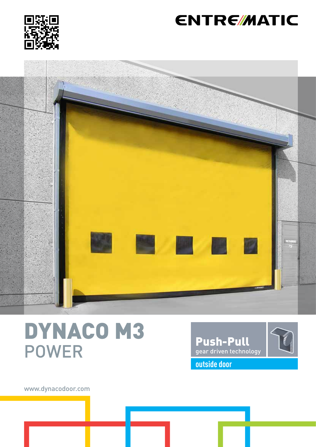

## **ENTRE/MATIC**



DYNACO M3 POWER



www.dynacodoor.com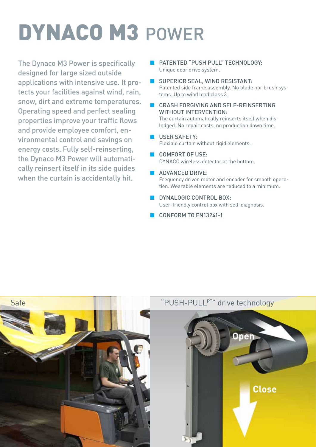# DYNACO M3 POWER

The Dynaco M3 Power is specifically designed for large sized outside applications with intensive use. It protects your facilities against wind, rain, snow, dirt and extreme temperatures. Operating speed and perfect sealing properties improve your traffic flows and provide employee comfort, environmental control and savings on energy costs. Fully self-reinserting, the Dynaco M3 Power will automatically reinsert itself in its side guides when the curtain is accidentally hit.

- **B** PATENTED "PUSH PULL" TECHNOLOGY: Unique door drive system.
- SUPERIOR SEAL, WIND RESISTANT: Patented side frame assembly. No blade nor brush systems. Up to wind load class 3.
	- CRASH FORGIVING AND SELF-REINSERTING WITHOUT INTERVENTION: The curtain automatically reinserts itself when dis-

lodged. No repair costs, no production down time.

- **USER SAFETY:** Flexible curtain without rigid elements.
- COMFORT OF USE: DYNACO wireless detector at the bottom.
- **ADVANCED DRIVE:** Frequency driven motor and encoder for smooth operation. Wearable elements are reduced to a minimum.
- **DYNALOGIC CONTROL BOX:** User-friendly control box with self-diagnosis.
- CONFORM TO FN13241-1

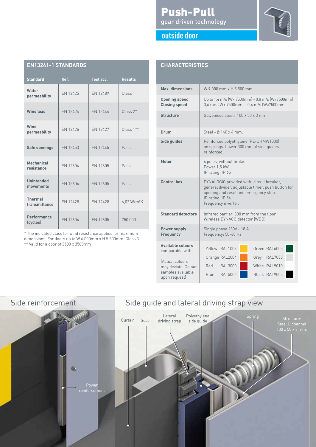| EN 1944 I-T ƏTANDARDƏ           |                 |                 |                         |
|---------------------------------|-----------------|-----------------|-------------------------|
| <b>Standard</b>                 | Ref.            | Test acc.       | <b>Results</b>          |
| Water<br>permeability           | EN 12425        | EN 12489        | Class <sub>1</sub>      |
| <b>Wind load</b>                | EN 12424        | EN 12444        | $Class 2*$              |
| Wind<br>permeability            | EN 12426        | <b>EN 12427</b> | Class 1**               |
| <b>Safe openings</b>            | EN 12453        | EN 12445        | Pass                    |
| Mechanical<br>resistance        | EN 12604        | EN 12605        | Pass                    |
| <b>Unintended</b><br>movements  | <b>FN 12604</b> | <b>FN 12605</b> | Pass                    |
| <b>Thermal</b><br>transmittance | <b>EN 12428</b> | <b>EN 12428</b> | 6,02 W/m <sup>2</sup> K |
| Performance<br>(cycles)         | FN 12604        | <b>FN 12605</b> | 750,000                 |

\* The indicated class for wind resistance applies for maximum dimensions. For doors up to W 6.000mm x H 5.500mm: Class 3

\*\* Valid for a door of 3500 x 3500mm

**EN13241-1 STANDARDS**

#### Push-Pull gear driven technology



#### **outside door**

#### **CHARACTERISTICS**

| Max. dimensions                                                              | W 9.000 mm x H 5.500 mm                                                                                                                                                              |  |  |
|------------------------------------------------------------------------------|--------------------------------------------------------------------------------------------------------------------------------------------------------------------------------------|--|--|
| <b>Opening speed</b><br><b>Closing speed</b>                                 | Up to 1,4 m/s (W< 7500mm) - 0,8 m/s (W≥7500mm)<br>$0.6$ m/s (W< 7500mm) - 0.4 m/s (W>7500mm)                                                                                         |  |  |
| <b>Structure</b>                                                             | Galvanised steel . 100 x 50 x 3 mm                                                                                                                                                   |  |  |
| Drum                                                                         | Steel - Ø 140 x 4 mm.                                                                                                                                                                |  |  |
| Side guides                                                                  | Reinforced polyethylene (PE-UHMW1000)<br>on springs. Lower 300 mm of side guides<br>reinforced                                                                                       |  |  |
| Motor                                                                        | 4 poles, without brake.<br>Power 1,5 kW<br>IP rating: IP 65                                                                                                                          |  |  |
| <b>Control box</b>                                                           | DYNALOGIC provided with: circuit breaker,<br>general divider, adjustable timer, push button for<br>opening and reset and emergency stop.<br>IP rating: IP 54.<br>Frequency inverter. |  |  |
| <b>Standard detectors</b>                                                    | Infrared barrier: 300 mm from the floor.<br>Wireless DYNACO detector (WDD).                                                                                                          |  |  |
| Power supply<br><b>Frequency</b>                                             | Single phase 230V - 18 A<br>Frequency: 50-60 Hz                                                                                                                                      |  |  |
| <b>Available colours</b><br>comparable with:                                 | Yellow RAL1003<br>Green RAL6005                                                                                                                                                      |  |  |
| (Actual colours<br>may deviate. Colour<br>samples available<br>upon request) | <b>RAL7035</b><br>Orange RAL2004<br>Grey<br><b>RAL3000</b><br>White RAL9010<br>Red<br>Blue RAL5002<br>Black RAL9005                                                                  |  |  |



#### Side reinforcement Side guide and lateral driving strap view